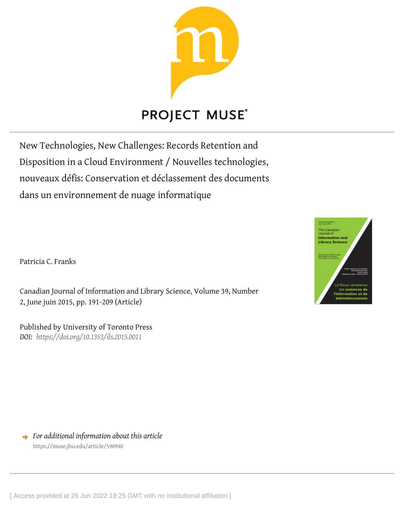

# **PROJECT MUSE®**

New Technologies, New Challenges: Records Retention and Disposition in a Cloud Environment / Nouvelles technologies, nouveaux défis: Conservation et déclassement des documents dans un environnement de nuage informatique

Patricia C. Franks

Canadian Journal of Information and Library Science, Volume 39, Number 2, June juin 2015, pp. 191-209 (Article)

Published by University of Toronto Press *DOI: <https://doi.org/10.1353/ils.2015.0011>*



*For additional information about this article* <https://muse.jhu.edu/article/590940>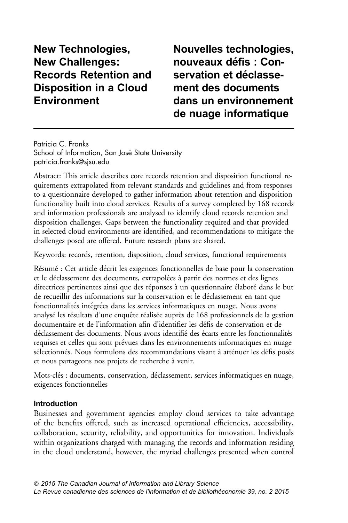## New Technologies, New Challenges: Records Retention and Disposition in a Cloud Environment

Nouvelles technologies, nouveaux défis : Conservation et déclassement des documents dans un environnement de nuage informatique

Patricia C. Franks School of Information, San José State University <patricia.franks@sjsu.edu>

Abstract: This article describes core records retention and disposition functional requirements extrapolated from relevant standards and guidelines and from responses to a questionnaire developed to gather information about retention and disposition functionality built into cloud services. Results of a survey completed by 168 records and information professionals are analysed to identify cloud records retention and disposition challenges. Gaps between the functionality required and that provided in selected cloud environments are identified, and recommendations to mitigate the challenges posed are offered. Future research plans are shared.

Keywords: records, retention, disposition, cloud services, functional requirements

Résumé : Cet article décrit les exigences fonctionnelles de base pour la conservation et le déclassement des documents, extrapolées à partir des normes et des lignes directrices pertinentes ainsi que des réponses à un questionnaire élaboré dans le but de recueillir des informations sur la conservation et le déclassement en tant que fonctionnalités intégrées dans les services informatiques en nuage. Nous avons analysé les résultats d'une enquête réalisée auprès de 168 professionnels de la gestion documentaire et de l'information afin d'identifier les défis de conservation et de déclassement des documents. Nous avons identifié des écarts entre les fonctionnalités requises et celles qui sont prévues dans les environnements informatiques en nuage sélectionnés. Nous formulons des recommandations visant à atténuer les défis posés et nous partageons nos projets de recherche à venir.

Mots-clés : documents, conservation, déclassement, services informatiques en nuage, exigences fonctionnelles

## **Introduction**

Businesses and government agencies employ cloud services to take advantage of the benefits offered, such as increased operational efficiencies, accessibility, collaboration, security, reliability, and opportunities for innovation. Individuals within organizations charged with managing the records and information residing in the cloud understand, however, the myriad challenges presented when control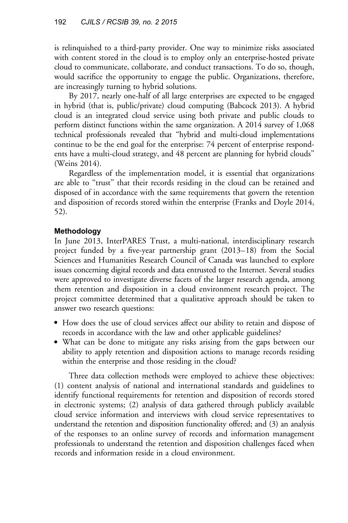is relinquished to a third-party provider. One way to minimize risks associated with content stored in the cloud is to employ only an enterprise-hosted private cloud to communicate, collaborate, and conduct transactions. To do so, though, would sacrifice the opportunity to engage the public. Organizations, therefore, are increasingly turning to hybrid solutions.

By 2017, nearly one-half of all large enterprises are expected to be engaged in hybrid (that is, public/private) cloud computing ([Babcock 2013\)](#page-18-0). A hybrid cloud is an integrated cloud service using both private and public clouds to perform distinct functions within the same organization. A 2014 survey of 1,068 technical professionals revealed that ''hybrid and multi-cloud implementations continue to be the end goal for the enterprise: 74 percent of enterprise respondents have a multi-cloud strategy, and 48 percent are planning for hybrid clouds'' ([Weins 2014](#page-19-0)).

Regardless of the implementation model, it is essential that organizations are able to ''trust'' that their records residing in the cloud can be retained and disposed of in accordance with the same requirements that govern the retention and disposition of records stored within the enterprise ([Franks and Doyle 2014,](#page-19-0) 52).

## Methodology

In June 2013, InterPARES Trust, a multi-national, interdisciplinary research project funded by a five-year partnership grant (2013–18) from the Social Sciences and Humanities Research Council of Canada was launched to explore issues concerning digital records and data entrusted to the Internet. Several studies were approved to investigate diverse facets of the larger research agenda, among them retention and disposition in a cloud environment research project. The project committee determined that a qualitative approach should be taken to answer two research questions:

- How does the use of cloud services affect our ability to retain and dispose of records in accordance with the law and other applicable guidelines?
- What can be done to mitigate any risks arising from the gaps between our ability to apply retention and disposition actions to manage records residing within the enterprise and those residing in the cloud?

Three data collection methods were employed to achieve these objectives: (1) content analysis of national and international standards and guidelines to identify functional requirements for retention and disposition of records stored in electronic systems; (2) analysis of data gathered through publicly available cloud service information and interviews with cloud service representatives to understand the retention and disposition functionality offered; and (3) an analysis of the responses to an online survey of records and information management professionals to understand the retention and disposition challenges faced when records and information reside in a cloud environment.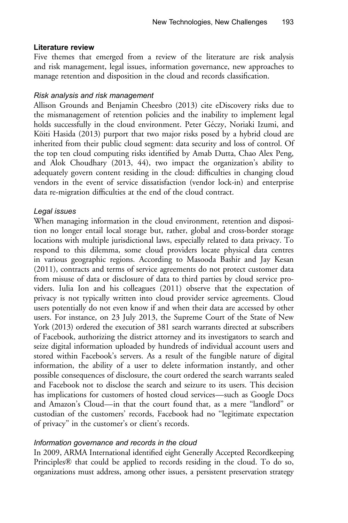## Literature review

Five themes that emerged from a review of the literature are risk analysis and risk management, legal issues, information governance, new approaches to manage retention and disposition in the cloud and records classification.

## Risk analysis and risk management

Allison Grounds and Benjamin Cheesbro (2013) cite eDiscovery risks due to the mismanagement of retention policies and the inability to implement legal holds successfully in the cloud environment. Peter Géczy, Noriaki Izumi, and Köiti Hasida (2013) purport that two major risks posed by a hybrid cloud are inherited from their public cloud segment: data security and loss of control. Of the top ten cloud computing risks identified by Amab Dutta, Chao Alex Peng, and Alok Choudhary (2013, 44), two impact the organization's ability to adequately govern content residing in the cloud: difficulties in changing cloud vendors in the event of service dissatisfaction (vendor lock-in) and enterprise data re-migration difficulties at the end of the cloud contract.

## Legal issues

When managing information in the cloud environment, retention and disposition no longer entail local storage but, rather, global and cross-border storage locations with multiple jurisdictional laws, especially related to data privacy. To respond to this dilemma, some cloud providers locate physical data centres in various geographic regions. According to Masooda Bashir and Jay Kesan (2011), contracts and terms of service agreements do not protect customer data from misuse of data or disclosure of data to third parties by cloud service providers. Iulia Ion and his colleagues (2011) observe that the expectation of privacy is not typically written into cloud provider service agreements. Cloud users potentially do not even know if and when their data are accessed by other users. For instance, on 23 July 2013, the [Supreme Court of the State of New](#page-19-0) [York \(2013\)](#page-19-0) ordered the execution of 381 search warrants directed at subscribers of Facebook, authorizing the district attorney and its investigators to search and seize digital information uploaded by hundreds of individual account users and stored within Facebook's servers. As a result of the fungible nature of digital information, the ability of a user to delete information instantly, and other possible consequences of disclosure, the court ordered the search warrants sealed and Facebook not to disclose the search and seizure to its users. This decision has implications for customers of hosted cloud services—such as Google Docs and Amazon's Cloud—in that the court found that, as a mere ''landlord'' or custodian of the customers' records, Facebook had no ''legitimate expectation of privacy'' in the customer's or client's records.

## Information governance and records in the cloud

In 2009, ARMA International identified eight Generally Accepted Recordkeeping Principles<sup>®</sup> that could be applied to records residing in the cloud. To do so, organizations must address, among other issues, a persistent preservation strategy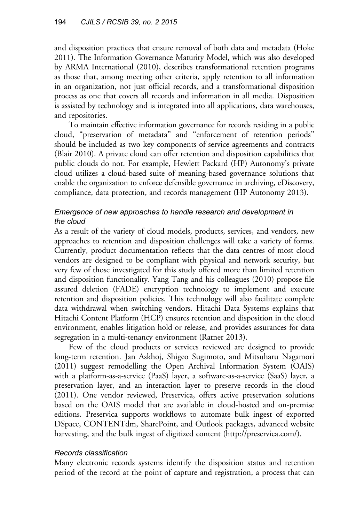and disposition practices that ensure removal of both data and metadata ([Hoke](#page-19-0) [2011\)](#page-19-0). The Information Governance Maturity Model, which was also developed by [ARMA International \(2010\)](#page-18-0), describes transformational retention programs as those that, among meeting other criteria, apply retention to all information in an organization, not just official records, and a transformational disposition process as one that covers all records and information in all media. Disposition is assisted by technology and is integrated into all applications, data warehouses, and repositories.

To maintain effective information governance for records residing in a public cloud, ''preservation of metadata'' and ''enforcement of retention periods'' should be included as two key components of service agreements and contracts ([Blair 2010](#page-18-0)). A private cloud can offer retention and disposition capabilities that public clouds do not. For example, Hewlett Packard (HP) Autonomy's private cloud utilizes a cloud-based suite of meaning-based governance solutions that enable the organization to enforce defensible governance in archiving, eDiscovery, compliance, data protection, and records management ([HP Autonomy 2013](#page-19-0)).

## Emergence of new approaches to handle research and development in the cloud

As a result of the variety of cloud models, products, services, and vendors, new approaches to retention and disposition challenges will take a variety of forms. Currently, product documentation reflects that the data centres of most cloud vendors are designed to be compliant with physical and network security, but very few of those investigated for this study offered more than limited retention and disposition functionality. Yang Tang and his colleagues (2010) propose file assured deletion (FADE) encryption technology to implement and execute retention and disposition policies. This technology will also facilitate complete data withdrawal when switching vendors. Hitachi Data Systems explains that Hitachi Content Platform (HCP) ensures retention and disposition in the cloud environment, enables litigation hold or release, and provides assurances for data segregation in a multi-tenancy environment [\(Ratner 2013](#page-19-0)).

Few of the cloud products or services reviewed are designed to provide long-term retention. Jan Askhoj, Shigeo Sugimoto, and Mitsuharu Nagamori (2011) suggest remodelling the Open Archival Information System (OAIS) with a platform-as-a-service (PaaS) layer, a software-as-a-service (SaaS) layer, a preservation layer, and an interaction layer to preserve records in the cloud (2011). One vendor reviewed, Preservica, offers active preservation solutions based on the OAIS model that are available in cloud-hosted and on-premise editions. Preservica supports workflows to automate bulk ingest of exported DSpace, CONTENTdm, SharePoint, and Outlook packages, advanced website harvesting, and the bulk ingest of digitized content [\(http://preservica.com/\)](http://preservica.com/).

## Records classification

Many electronic records systems identify the disposition status and retention period of the record at the point of capture and registration, a process that can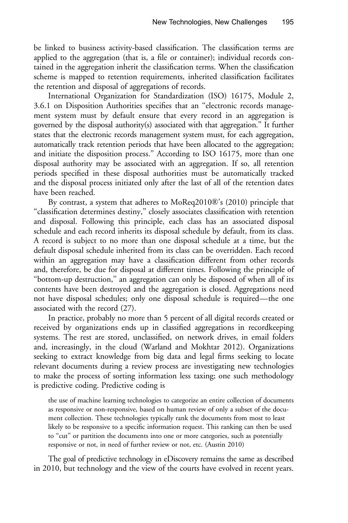be linked to business activity-based classification. The classification terms are applied to the aggregation (that is, a file or container); individual records contained in the aggregation inherit the classification terms. When the classification scheme is mapped to retention requirements, inherited classification facilitates the retention and disposal of aggregations of records.

International Organization for Standardization (ISO) 16175, Module 2, 3.6.1 on Disposition Authorities specifies that an ''electronic records management system must by default ensure that every record in an aggregation is governed by the disposal authority(s) associated with that aggregation.'' It further states that the electronic records management system must, for each aggregation, automatically track retention periods that have been allocated to the aggregation; and initiate the disposition process.'' According to ISO 16175, more than one disposal authority may be associated with an aggregation. If so, all retention periods specified in these disposal authorities must be automatically tracked and the disposal process initiated only after the last of all of the retention dates have been reached.

By contrast, a system that adheres to MoReq2010<sup>®</sup>'s (2010) principle that "classification determines destiny," closely associates classification with retention and disposal. Following this principle, each class has an associated disposal schedule and each record inherits its disposal schedule by default, from its class. A record is subject to no more than one disposal schedule at a time, but the default disposal schedule inherited from its class can be overridden. Each record within an aggregation may have a classification different from other records and, therefore, be due for disposal at different times. Following the principle of ''bottom-up destruction,'' an aggregation can only be disposed of when all of its contents have been destroyed and the aggregation is closed. Aggregations need not have disposal schedules; only one disposal schedule is required—the one associated with the record (27).

In practice, probably no more than 5 percent of all digital records created or received by organizations ends up in classified aggregations in recordkeeping systems. The rest are stored, unclassified, on network drives, in email folders and, increasingly, in the cloud [\(Warland and Mokhtar 2012](#page-19-0)). Organizations seeking to extract knowledge from big data and legal firms seeking to locate relevant documents during a review process are investigating new technologies to make the process of sorting information less taxing; one such methodology is predictive coding. Predictive coding is

the use of machine learning technologies to categorize an entire collection of documents as responsive or non-responsive, based on human review of only a subset of the document collection. These technologies typically rank the documents from most to least likely to be responsive to a specific information request. This ranking can then be used to "cut" or partition the documents into one or more categories, such as potentially responsive or not, in need of further review or not, etc. [\(Austin 2010](#page-18-0))

The goal of predictive technology in eDiscovery remains the same as described in 2010, but technology and the view of the courts have evolved in recent years.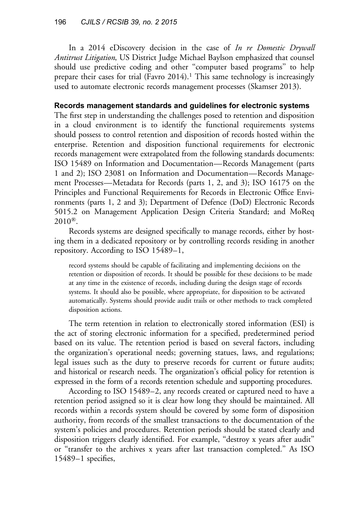In a 2014 eDiscovery decision in the case of In re Domestic Drywall Antitrust Litigation, US District Judge Michael Baylson emphasized that counsel should use predictive coding and other ''computer based programs'' to help prepare their cases for trial ([Favro 2014\)](#page-19-0).<sup>1</sup> This same technology is increasingly used to automate electronic records management processes ([Skamser 2013](#page-19-0)).

### Records management standards and guidelines for electronic systems

The first step in understanding the challenges posed to retention and disposition in a cloud environment is to identify the functional requirements systems should possess to control retention and disposition of records hosted within the enterprise. Retention and disposition functional requirements for electronic records management were extrapolated from the following standards documents: ISO 15489 on Information and Documentation—Records Management (parts 1 and 2); ISO 23081 on Information and Documentation—Records Management Processes—Metadata for Records (parts 1, 2, and 3); ISO 16175 on the Principles and Functional Requirements for Records in Electronic Office Environments (parts 1, 2 and 3); Department of Defence (DoD) Electronic Records 5015.2 on Management Application Design Criteria Standard; and MoReq  $2010^{\circledR}$ .

Records systems are designed specifically to manage records, either by hosting them in a dedicated repository or by controlling records residing in another repository. According to ISO 15489–1,

record systems should be capable of facilitating and implementing decisions on the retention or disposition of records. It should be possible for these decisions to be made at any time in the existence of records, including during the design stage of records systems. It should also be possible, where appropriate, for disposition to be activated automatically. Systems should provide audit trails or other methods to track completed disposition actions.

The term retention in relation to electronically stored information (ESI) is the act of storing electronic information for a specified, predetermined period based on its value. The retention period is based on several factors, including the organization's operational needs; governing statues, laws, and regulations; legal issues such as the duty to preserve records for current or future audits; and historical or research needs. The organization's official policy for retention is expressed in the form of a records retention schedule and supporting procedures.

According to ISO 15489–2, any records created or captured need to have a retention period assigned so it is clear how long they should be maintained. All records within a records system should be covered by some form of disposition authority, from records of the smallest transactions to the documentation of the system's policies and procedures. Retention periods should be stated clearly and disposition triggers clearly identified. For example, "destroy x years after audit" or ''transfer to the archives x years after last transaction completed.'' As ISO 15489–1 specifies,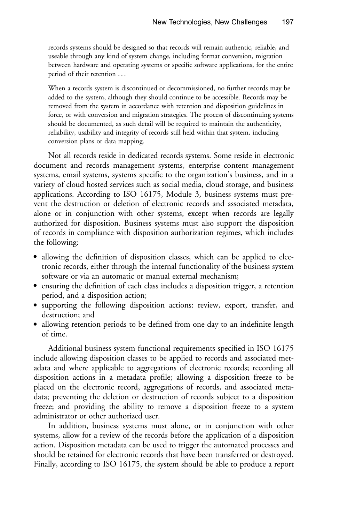records systems should be designed so that records will remain authentic, reliable, and useable through any kind of system change, including format conversion, migration between hardware and operating systems or specific software applications, for the entire period of their retention . . .

When a records system is discontinued or decommissioned, no further records may be added to the system, although they should continue to be accessible. Records may be removed from the system in accordance with retention and disposition guidelines in force, or with conversion and migration strategies. The process of discontinuing systems should be documented, as such detail will be required to maintain the authenticity, reliability, usability and integrity of records still held within that system, including conversion plans or data mapping.

Not all records reside in dedicated records systems. Some reside in electronic document and records management systems, enterprise content management systems, email systems, systems specific to the organization's business, and in a variety of cloud hosted services such as social media, cloud storage, and business applications. According to ISO 16175, Module 3, business systems must prevent the destruction or deletion of electronic records and associated metadata, alone or in conjunction with other systems, except when records are legally authorized for disposition. Business systems must also support the disposition of records in compliance with disposition authorization regimes, which includes the following:

- allowing the definition of disposition classes, which can be applied to electronic records, either through the internal functionality of the business system software or via an automatic or manual external mechanism;
- ensuring the definition of each class includes a disposition trigger, a retention period, and a disposition action;
- supporting the following disposition actions: review, export, transfer, and destruction; and
- allowing retention periods to be defined from one day to an indefinite length of time.

Additional business system functional requirements specified in ISO 16175 include allowing disposition classes to be applied to records and associated metadata and where applicable to aggregations of electronic records; recording all disposition actions in a metadata profile; allowing a disposition freeze to be placed on the electronic record, aggregations of records, and associated metadata; preventing the deletion or destruction of records subject to a disposition freeze; and providing the ability to remove a disposition freeze to a system administrator or other authorized user.

In addition, business systems must alone, or in conjunction with other systems, allow for a review of the records before the application of a disposition action. Disposition metadata can be used to trigger the automated processes and should be retained for electronic records that have been transferred or destroyed. Finally, according to ISO 16175, the system should be able to produce a report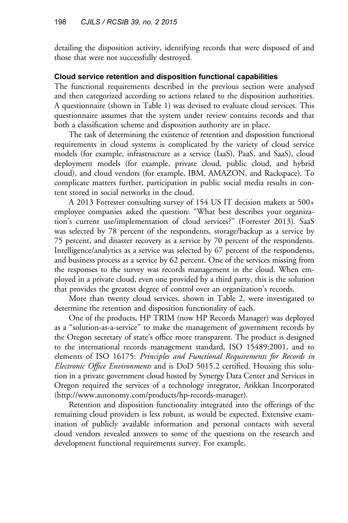detailing the disposition activity, identifying records that were disposed of and those that were not successfully destroyed.

### Cloud service retention and disposition functional capabilities

The functional requirements described in the previous section were analysed and then categorized according to actions related to the disposition authorities. A questionnaire (shown in Table 1) was devised to evaluate cloud services. This questionnaire assumes that the system under review contains records and that both a classification scheme and disposition authority are in place.

The task of determining the existence of retention and disposition functional requirements in cloud systems is complicated by the variety of cloud service models (for example, infrastructure as a service (IaaS), PaaS, and SaaS), cloud deployment models (for example, private cloud, public cloud, and hybrid cloud), and cloud vendors (for example, IBM, AMAZON, and Rackspace). To complicate matters further, participation in public social media results in content stored in social networks in the cloud.

A 2013 Forrester consulting survey of 154 US IT decision makers at 500+ employee companies asked the question: ''What best describes your organization's current use/implementation of cloud services?'' [\(Forrester 2013\)](#page-19-0). SaaS was selected by 78 percent of the respondents, storage/backup as a service by 75 percent, and disaster recovery as a service by 70 percent of the respondents. Intelligence/analytics as a service was selected by 67 percent of the respondents, and business process as a service by 62 percent. One of the services missing from the responses to the survey was records management in the cloud. When employed in a private cloud, even one provided by a third party, this is the solution that provides the greatest degree of control over an organization's records.

More than twenty cloud services, shown in Table 2, were investigated to determine the retention and disposition functionality of each.

One of the products, HP TRIM (now HP Records Manager) was deployed as a ''solution-as-a-service'' to make the management of government records by the Oregon secretary of state's office more transparent. The product is designed to the international records management standard, ISO 15489:2001, and to elements of ISO 16175: Principles and Functional Requirements for Records in Electronic Office Environments and is DoD 5015.2 certified. Housing this solution in a private government cloud hosted by Synergy Data Center and Services in Oregon required the services of a technology integrator, Arikkan Incorporated (<http://www.autonomy.com/products/hp-records-manager>).

Retention and disposition functionality integrated into the offerings of the remaining cloud providers is less robust, as would be expected. Extensive examination of publicly available information and personal contacts with several cloud vendors revealed answers to some of the questions on the research and development functional requirements survey. For example,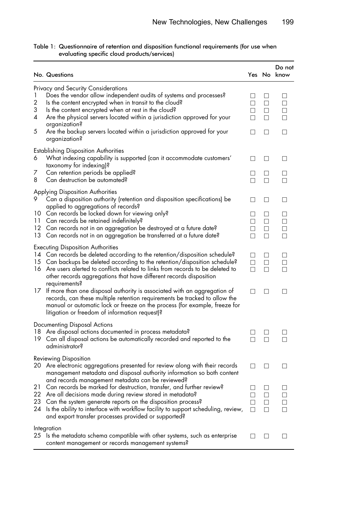|                       | No. Questions                                                                                                                                                                                                                                                                                                                                                                                    |                  |                       | Do not<br>Yes No know |
|-----------------------|--------------------------------------------------------------------------------------------------------------------------------------------------------------------------------------------------------------------------------------------------------------------------------------------------------------------------------------------------------------------------------------------------|------------------|-----------------------|-----------------------|
| 1<br>2<br>3<br>4      | Privacy and Security Considerations<br>Does the vendor allow independent audits of systems and processes?<br>Is the content encrypted when in transit to the cloud?<br>Is the content encrypted when at rest in the cloud?<br>Are the physical servers located within a jurisdiction approved for your<br>organization?                                                                          | □<br>□<br>П<br>п | □<br>□<br>□<br>П      | П<br>□<br>П<br>п      |
| 5                     | Are the backup servers located within a jurisdiction approved for your<br>organization?                                                                                                                                                                                                                                                                                                          | П                | П                     | П                     |
| 6<br>7                | <b>Establishing Disposition Authorities</b><br>What indexing capability is supported (can it accommodate customers'<br>taxonomy for indexing)?<br>Can retention periods be applied?                                                                                                                                                                                                              | П<br>□           | □<br>П                |                       |
| 8                     | Can destruction be automated?                                                                                                                                                                                                                                                                                                                                                                    | □                | □                     | п                     |
| 9                     | Applying Disposition Authorities<br>Can a disposition authority (retention and disposition specifications) be<br>applied to aggregations of records?                                                                                                                                                                                                                                             | □                | □                     | П                     |
| 11<br>12<br>13        | 10 Can records be locked down for viewing only?<br>Can records be retained indefinitely?<br>Can records not in an aggregation be destroyed at a future date?<br>Can records not in an aggregation be transferred at a future date?                                                                                                                                                               | П<br>□<br>□<br>П | □<br>□<br>□<br>$\Box$ | П<br>□<br>П           |
|                       | <b>Executing Disposition Authorities</b><br>14 Can records be deleted according to the retention/disposition schedule?<br>15 Can backups be deleted according to the retention/disposition schedule?<br>16 Are users alerted to conflicts related to links from records to be deleted to<br>other records aggregations that have different records disposition                                   | □<br>П<br>□      | □<br>П<br>□           | П<br>П<br>П           |
| 17                    | requirements?<br>If more than one disposal authority is associated with an aggregation of<br>records, can these multiple retention requirements be tracked to allow the<br>manual or automatic lock or freeze on the process (for example, freeze for<br>litigation or freedom of information request)?                                                                                          | п                | □                     | П                     |
|                       | Documenting Disposal Actions<br>18 Are disposal actions documented in process metadata?<br>19 Can all disposal actions be automatically recorded and reported to the<br>administrator?                                                                                                                                                                                                           | $\perp$<br>□     | □<br>□                | П<br>П                |
|                       | Reviewing Disposition<br>20 Are electronic aggregations presented for review along with their records<br>management metadata and disposal authority information so both content                                                                                                                                                                                                                  | □                | □                     | П                     |
| 21<br>22<br>23.<br>24 | and records management metadata can be reviewed?<br>Can records be marked for destruction, transfer, and further review?<br>Are all decisions made during review stored in metadata?<br>Can the system generate reports on the disposition process?<br>Is the ability to interface with workflow facility to support scheduling, review,<br>and export transfer processes provided or supported? | П<br>□<br>п<br>п | □<br>□<br>□<br>$\Box$ | H<br>П<br>П<br>□      |
|                       | Integration<br>25 Is the metadata schema compatible with other systems, such as enterprise<br>content management or records management systems?                                                                                                                                                                                                                                                  | □                | □                     | □                     |

#### Table 1: Questionnaire of retention and disposition functional requirements (for use when evaluating specific cloud products/services)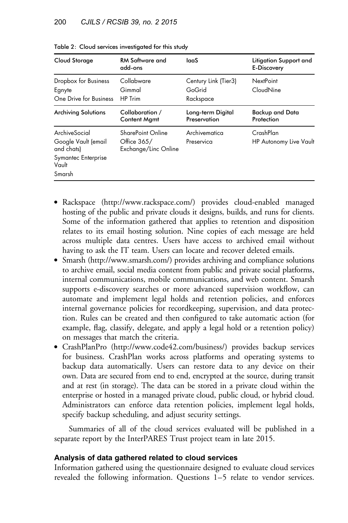| Cloud Storage                                                                                | <b>RM Software and</b><br>add-ons                        | laaS                                        | Litigation Support and<br><b>E-Discovery</b> |
|----------------------------------------------------------------------------------------------|----------------------------------------------------------|---------------------------------------------|----------------------------------------------|
| Dropbox for Business<br>Egnyte<br>One Drive for Business                                     | Collabware<br>Gimmal<br><b>HP</b> Trim                   | Century Link (Tier3)<br>GoGrid<br>Rackspace | NextPoint<br>CloudNine                       |
| <b>Archiving Solutions</b>                                                                   | Collaboration /<br><b>Content Mamt</b>                   | Long-term Digital<br>Preservation           | Backup and Data<br>Protection                |
| ArchiveSocial<br>Google Vault (email<br>and chats)<br>Symantec Enterprise<br>Vault<br>Smarsh | SharePoint Online<br>Office 365/<br>Exchange/Linc Online | Archivematica<br>Preservica                 | CrashPlan<br><b>HP Autonomy Live Vault</b>   |

Table 2: Cloud services investigated for this study

- Rackspace (<http://www.rackspace.com/>) provides cloud-enabled managed hosting of the public and private clouds it designs, builds, and runs for clients. Some of the information gathered that applies to retention and disposition relates to its email hosting solution. Nine copies of each message are held across multiple data centres. Users have access to archived email without having to ask the IT team. Users can locate and recover deleted emails.
- Smarsh [\(http://www.smarsh.com/](http://www.smarsh.com/)) provides archiving and compliance solutions to archive email, social media content from public and private social platforms, internal communications, mobile communications, and web content. Smarsh supports e-discovery searches or more advanced supervision workflow, can automate and implement legal holds and retention policies, and enforces internal governance policies for recordkeeping, supervision, and data protection. Rules can be created and then configured to take automatic action (for example, flag, classify, delegate, and apply a legal hold or a retention policy) on messages that match the criteria.
- CrashPlanPro [\(http://www.code42.com/business/\)](http://www.code42.com/business/) provides backup services for business. CrashPlan works across platforms and operating systems to backup data automatically. Users can restore data to any device on their own. Data are secured from end to end, encrypted at the source, during transit and at rest (in storage). The data can be stored in a private cloud within the enterprise or hosted in a managed private cloud, public cloud, or hybrid cloud. Administrators can enforce data retention policies, implement legal holds, specify backup scheduling, and adjust security settings.

Summaries of all of the cloud services evaluated will be published in a separate report by the InterPARES Trust project team in late 2015.

#### Analysis of data gathered related to cloud services

Information gathered using the questionnaire designed to evaluate cloud services revealed the following information. Questions 1–5 relate to vendor services.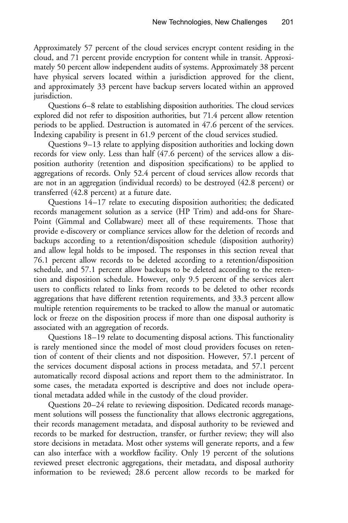Approximately 57 percent of the cloud services encrypt content residing in the cloud, and 71 percent provide encryption for content while in transit. Approximately 50 percent allow independent audits of systems. Approximately 38 percent have physical servers located within a jurisdiction approved for the client, and approximately 33 percent have backup servers located within an approved jurisdiction.

Questions 6–8 relate to establishing disposition authorities. The cloud services explored did not refer to disposition authorities, but 71.4 percent allow retention periods to be applied. Destruction is automated in 47.6 percent of the services. Indexing capability is present in 61.9 percent of the cloud services studied.

Questions 9–13 relate to applying disposition authorities and locking down records for view only. Less than half (47.6 percent) of the services allow a disposition authority (retention and disposition specifications) to be applied to aggregations of records. Only 52.4 percent of cloud services allow records that are not in an aggregation (individual records) to be destroyed (42.8 percent) or transferred (42.8 percent) at a future date.

Questions 14–17 relate to executing disposition authorities; the dedicated records management solution as a service (HP Trim) and add-ons for Share-Point (Gimmal and Collabware) meet all of these requirements. Those that provide e-discovery or compliance services allow for the deletion of records and backups according to a retention/disposition schedule (disposition authority) and allow legal holds to be imposed. The responses in this section reveal that 76.1 percent allow records to be deleted according to a retention/disposition schedule, and 57.1 percent allow backups to be deleted according to the retention and disposition schedule. However, only 9.5 percent of the services alert users to conflicts related to links from records to be deleted to other records aggregations that have different retention requirements, and 33.3 percent allow multiple retention requirements to be tracked to allow the manual or automatic lock or freeze on the disposition process if more than one disposal authority is associated with an aggregation of records.

Questions 18–19 relate to documenting disposal actions. This functionality is rarely mentioned since the model of most cloud providers focuses on retention of content of their clients and not disposition. However, 57.1 percent of the services document disposal actions in process metadata, and 57.1 percent automatically record disposal actions and report them to the administrator. In some cases, the metadata exported is descriptive and does not include operational metadata added while in the custody of the cloud provider.

Questions 20–24 relate to reviewing disposition. Dedicated records management solutions will possess the functionality that allows electronic aggregations, their records management metadata, and disposal authority to be reviewed and records to be marked for destruction, transfer, or further review; they will also store decisions in metadata. Most other systems will generate reports, and a few can also interface with a workflow facility. Only 19 percent of the solutions reviewed preset electronic aggregations, their metadata, and disposal authority information to be reviewed; 28.6 percent allow records to be marked for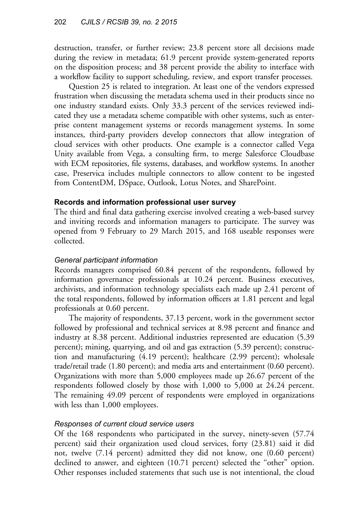destruction, transfer, or further review; 23.8 percent store all decisions made during the review in metadata; 61.9 percent provide system-generated reports on the disposition process; and 38 percent provide the ability to interface with a workflow facility to support scheduling, review, and export transfer processes.

Question 25 is related to integration. At least one of the vendors expressed frustration when discussing the metadata schema used in their products since no one industry standard exists. Only 33.3 percent of the services reviewed indicated they use a metadata scheme compatible with other systems, such as enterprise content management systems or records management systems. In some instances, third-party providers develop connectors that allow integration of cloud services with other products. One example is a connector called Vega Unity available from Vega, a consulting firm, to merge Salesforce Cloudbase with ECM repositories, file systems, databases, and workflow systems. In another case, Preservica includes multiple connectors to allow content to be ingested from ContentDM, DSpace, Outlook, Lotus Notes, and SharePoint.

#### Records and information professional user survey

The third and final data gathering exercise involved creating a web-based survey and inviting records and information managers to participate. The survey was opened from 9 February to 29 March 2015, and 168 useable responses were collected.

### General participant information

Records managers comprised 60.84 percent of the respondents, followed by information governance professionals at 10.24 percent. Business executives, archivists, and information technology specialists each made up 2.41 percent of the total respondents, followed by information officers at 1.81 percent and legal professionals at 0.60 percent.

The majority of respondents, 37.13 percent, work in the government sector followed by professional and technical services at 8.98 percent and finance and industry at 8.38 percent. Additional industries represented are education (5.39 percent); mining, quarrying, and oil and gas extraction (5.39 percent); construction and manufacturing (4.19 percent); healthcare (2.99 percent); wholesale trade/retail trade (1.80 percent); and media arts and entertainment (0.60 percent). Organizations with more than 5,000 employees made up 26.67 percent of the respondents followed closely by those with 1,000 to 5,000 at 24.24 percent. The remaining 49.09 percent of respondents were employed in organizations with less than 1,000 employees.

#### Responses of current cloud service users

Of the 168 respondents who participated in the survey, ninety-seven (57.74 percent) said their organization used cloud services, forty (23.81) said it did not, twelve (7.14 percent) admitted they did not know, one (0.60 percent) declined to answer, and eighteen (10.71 percent) selected the "other" option. Other responses included statements that such use is not intentional, the cloud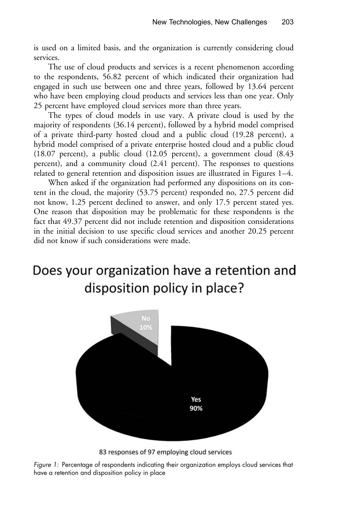is used on a limited basis, and the organization is currently considering cloud services.

The use of cloud products and services is a recent phenomenon according to the respondents, 56.82 percent of which indicated their organization had engaged in such use between one and three years, followed by 13.64 percent who have been employing cloud products and services less than one year. Only 25 percent have employed cloud services more than three years.

The types of cloud models in use vary. A private cloud is used by the majority of respondents (36.14 percent), followed by a hybrid model comprised of a private third-party hosted cloud and a public cloud (19.28 percent), a hybrid model comprised of a private enterprise hosted cloud and a public cloud (18.07 percent), a public cloud (12.05 percent), a government cloud (8.43 percent), and a community cloud (2.41 percent). The responses to questions related to general retention and disposition issues are illustrated in Figures 1–4.

When asked if the organization had performed any dispositions on its content in the cloud, the majority (53.75 percent) responded no, 27.5 percent did not know, 1.25 percent declined to answer, and only 17.5 percent stated yes. One reason that disposition may be problematic for these respondents is the fact that 49.37 percent did not include retention and disposition considerations in the initial decision to use specific cloud services and another 20.25 percent did not know if such considerations were made.

## Does your organization have a retention and disposition policy in place?



83 responses of 97 employing cloud services

Figure 1: Percentage of respondents indicating their organization employs cloud services that have a retention and disposition policy in place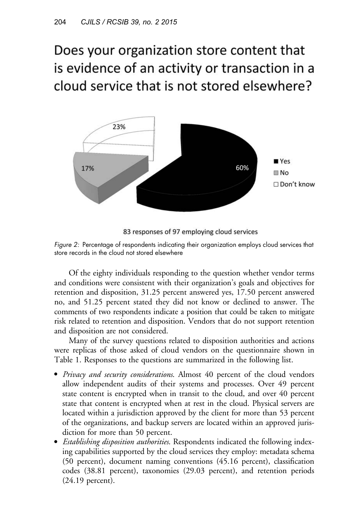Does your organization store content that is evidence of an activity or transaction in a cloud service that is not stored elsewhere?



83 responses of 97 employing cloud services

Figure 2: Percentage of respondents indicating their organization employs cloud services that store records in the cloud not stored elsewhere

Of the eighty individuals responding to the question whether vendor terms and conditions were consistent with their organization's goals and objectives for retention and disposition, 31.25 percent answered yes, 17.50 percent answered no, and 51.25 percent stated they did not know or declined to answer. The comments of two respondents indicate a position that could be taken to mitigate risk related to retention and disposition. Vendors that do not support retention and disposition are not considered.

Many of the survey questions related to disposition authorities and actions were replicas of those asked of cloud vendors on the questionnaire shown in Table 1. Responses to the questions are summarized in the following list.

- Privacy and security considerations. Almost 40 percent of the cloud vendors allow independent audits of their systems and processes. Over 49 percent state content is encrypted when in transit to the cloud, and over 40 percent state that content is encrypted when at rest in the cloud. Physical servers are located within a jurisdiction approved by the client for more than 53 percent of the organizations, and backup servers are located within an approved jurisdiction for more than 50 percent.
- Establishing disposition authorities. Respondents indicated the following indexing capabilities supported by the cloud services they employ: metadata schema (50 percent), document naming conventions (45.16 percent), classification codes (38.81 percent), taxonomies (29.03 percent), and retention periods (24.19 percent).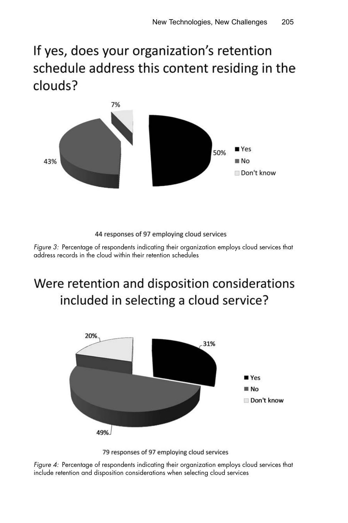## If yes, does your organization's retention schedule address this content residing in the clouds?



44 responses of 97 employing cloud services

Figure 3: Percentage of respondents indicating their organization employs cloud services that address records in the cloud within their retention schedules

## Were retention and disposition considerations included in selecting a cloud service?



79 responses of 97 employing cloud services

Figure 4: Percentage of respondents indicating their organization employs cloud services that include retention and disposition considerations when selecting cloud services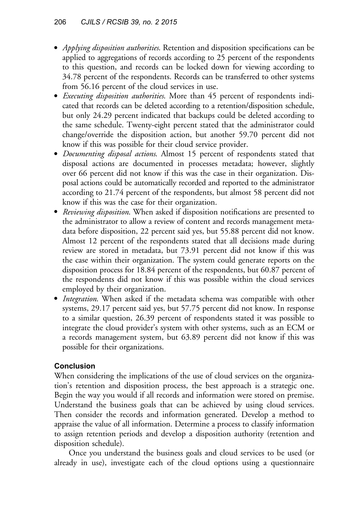- Applying disposition authorities. Retention and disposition specifications can be applied to aggregations of records according to 25 percent of the respondents to this question, and records can be locked down for viewing according to 34.78 percent of the respondents. Records can be transferred to other systems from 56.16 percent of the cloud services in use.
- Executing disposition authorities. More than 45 percent of respondents indicated that records can be deleted according to a retention/disposition schedule, but only 24.29 percent indicated that backups could be deleted according to the same schedule. Twenty-eight percent stated that the administrator could change/override the disposition action, but another 59.70 percent did not know if this was possible for their cloud service provider.
- · Documenting disposal actions. Almost 15 percent of respondents stated that disposal actions are documented in processes metadata; however, slightly over 66 percent did not know if this was the case in their organization. Disposal actions could be automatically recorded and reported to the administrator according to 21.74 percent of the respondents, but almost 58 percent did not know if this was the case for their organization.
- Reviewing disposition. When asked if disposition notifications are presented to the administrator to allow a review of content and records management metadata before disposition, 22 percent said yes, but 55.88 percent did not know. Almost 12 percent of the respondents stated that all decisions made during review are stored in metadata, but 73.91 percent did not know if this was the case within their organization. The system could generate reports on the disposition process for 18.84 percent of the respondents, but 60.87 percent of the respondents did not know if this was possible within the cloud services employed by their organization.
- Integration. When asked if the metadata schema was compatible with other systems, 29.17 percent said yes, but 57.75 percent did not know. In response to a similar question, 26.39 percent of respondents stated it was possible to integrate the cloud provider's system with other systems, such as an ECM or a records management system, but 63.89 percent did not know if this was possible for their organizations.

## Conclusion

When considering the implications of the use of cloud services on the organization's retention and disposition process, the best approach is a strategic one. Begin the way you would if all records and information were stored on premise. Understand the business goals that can be achieved by using cloud services. Then consider the records and information generated. Develop a method to appraise the value of all information. Determine a process to classify information to assign retention periods and develop a disposition authority (retention and disposition schedule).

Once you understand the business goals and cloud services to be used (or already in use), investigate each of the cloud options using a questionnaire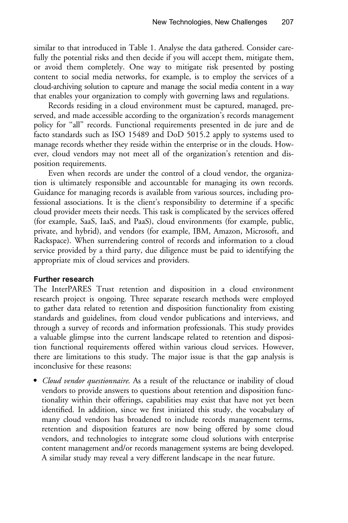similar to that introduced in Table 1. Analyse the data gathered. Consider carefully the potential risks and then decide if you will accept them, mitigate them, or avoid them completely. One way to mitigate risk presented by posting content to social media networks, for example, is to employ the services of a cloud-archiving solution to capture and manage the social media content in a way that enables your organization to comply with governing laws and regulations.

Records residing in a cloud environment must be captured, managed, preserved, and made accessible according to the organization's records management policy for "all" records. Functional requirements presented in de jure and de facto standards such as ISO 15489 and DoD 5015.2 apply to systems used to manage records whether they reside within the enterprise or in the clouds. However, cloud vendors may not meet all of the organization's retention and disposition requirements.

Even when records are under the control of a cloud vendor, the organization is ultimately responsible and accountable for managing its own records. Guidance for managing records is available from various sources, including professional associations. It is the client's responsibility to determine if a specific cloud provider meets their needs. This task is complicated by the services offered (for example, SaaS, IaaS, and PaaS), cloud environments (for example, public, private, and hybrid), and vendors (for example, IBM, Amazon, Microsoft, and Rackspace). When surrendering control of records and information to a cloud service provided by a third party, due diligence must be paid to identifying the appropriate mix of cloud services and providers.

### Further research

The InterPARES Trust retention and disposition in a cloud environment research project is ongoing. Three separate research methods were employed to gather data related to retention and disposition functionality from existing standards and guidelines, from cloud vendor publications and interviews, and through a survey of records and information professionals. This study provides a valuable glimpse into the current landscape related to retention and disposition functional requirements offered within various cloud services. However, there are limitations to this study. The major issue is that the gap analysis is inconclusive for these reasons:

• *Cloud vendor questionnaire*. As a result of the reluctance or inability of cloud vendors to provide answers to questions about retention and disposition functionality within their offerings, capabilities may exist that have not yet been identified. In addition, since we first initiated this study, the vocabulary of many cloud vendors has broadened to include records management terms, retention and disposition features are now being offered by some cloud vendors, and technologies to integrate some cloud solutions with enterprise content management and/or records management systems are being developed. A similar study may reveal a very different landscape in the near future.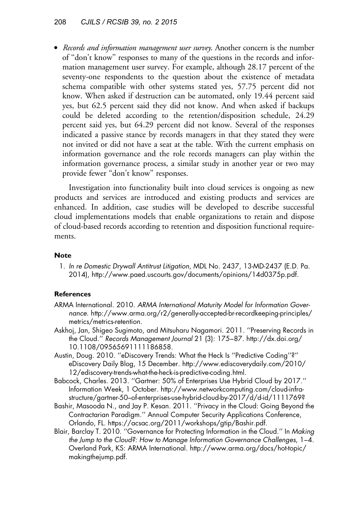<span id="page-18-0"></span>• Records and information management user survey. Another concern is the number of ''don't know'' responses to many of the questions in the records and information management user survey. For example, although 28.17 percent of the seventy-one respondents to the question about the existence of metadata schema compatible with other systems stated yes, 57.75 percent did not know. When asked if destruction can be automated, only 19.44 percent said yes, but 62.5 percent said they did not know. And when asked if backups could be deleted according to the retention/disposition schedule, 24.29 percent said yes, but 64.29 percent did not know. Several of the responses indicated a passive stance by records managers in that they stated they were not invited or did not have a seat at the table. With the current emphasis on information governance and the role records managers can play within the information governance process, a similar study in another year or two may provide fewer ''don't know'' responses.

Investigation into functionality built into cloud services is ongoing as new products and services are introduced and existing products and services are enhanced. In addition, case studies will be developed to describe successful cloud implementations models that enable organizations to retain and dispose of cloud-based records according to retention and disposition functional requirements.

#### **Note**

1. In re Domestic Drywall Antitrust Litigation, MDL No. 2437, 13-MD-2437 (E.D. Pa. 2014), [http://www.paed.uscourts.gov/documents/opinions/14d0375p.pdf.](http://www.paed.uscourts.gov/documents/opinions/14d0375p.pdf)

#### **References**

- ARMA International. 2010. ARMA International Maturity Model for Information Governance. [http://www.arma.org/r2/generally-accepted-br-recordkeeping-principles/](http://www.arma.org/r2/generally-accepted-br-recordkeeping-principles/metrics/metrics-retention) [metrics/metrics-retention](http://www.arma.org/r2/generally-accepted-br-recordkeeping-principles/metrics/metrics-retention).
- Askhoj, Jan, Shigeo Sugimoto, and Mitsuharu Nagamori. 2011. ''Preserving Records in the Cloud.'' Records Management Journal 21 (3): 175–87. [http://dx.doi.org/](http://dx.doi.org/10.1108/09565691111186858) [10.1108/09565691111186858.](http://dx.doi.org/10.1108/09565691111186858)
- Austin, Doug. 2010. ''eDiscovery Trends: What the Heck Is ''Predictive Coding''?'' eDiscovery Daily Blog, 15 December. [http://www.ediscoverydaily.com/2010/](http://www.ediscoverydaily.com/2010/12/ediscovery-trends-what-the-heck-is-predictive-coding.html) [12/ediscovery-trends-what-the-heck-is-predictive-coding.html.](http://www.ediscoverydaily.com/2010/12/ediscovery-trends-what-the-heck-is-predictive-coding.html)
- Babcock, Charles. 2013. ''Gartner: 50% of Enterprises Use Hybrid Cloud by 2017.'' Information Week, 1 October. [http://www.networkcomputing.com/cloud-infra](http://www.networkcomputing.com/cloud-infrastructure/gartner-50--of-enterprises-use-hybrid-cloud-by-2017/d/d-id/1111769)[structure/gartner-50–of-enterprises-use-hybrid-cloud-by-2017/d/d-id/1111769?](http://www.networkcomputing.com/cloud-infrastructure/gartner-50--of-enterprises-use-hybrid-cloud-by-2017/d/d-id/1111769)
- Bashir, Masooda N., and Jay P. Kesan. 2011. ''Privacy in the Cloud: Going Beyond the Contractarian Paradigm.'' Annual Computer Security Applications Conference, Orlando, FL. [https://acsac.org/2011/workshops/gtip/Bashir.pdf.](https://acsac.org/2011/workshops/gtip/Bashir.pdf)
- Blair, Barclay T. 2010. ''Governance for Protecting Information in the Cloud.'' In Making the Jump to the Cloud?: How to Manage Information Governance Challenges, 1–4. Overland Park, KS: ARMA International. [http://www.arma.org/docs/hot-topic/](http://www.arma.org/docs/hot-topic/makingthejump.pdf) [makingthejump.pdf.](http://www.arma.org/docs/hot-topic/makingthejump.pdf)